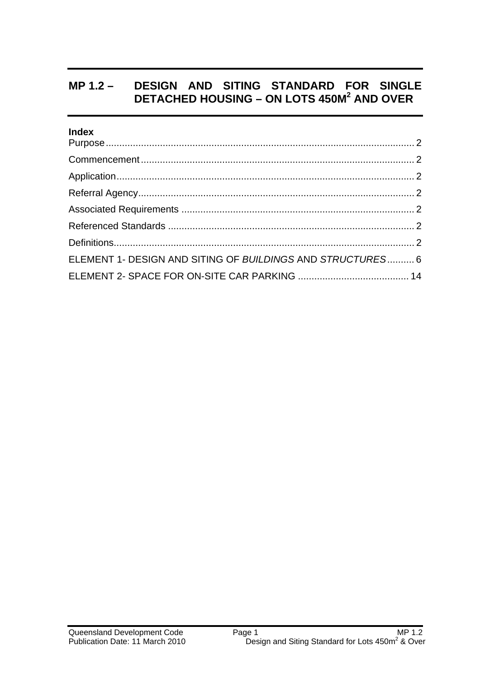## **MP 1.2 – DESIGN AND SITING STANDARD FOR SINGLE DETACHED HOUSING – ON LOTS 450M2 AND OVER**

#### **Index**

| ELEMENT 1- DESIGN AND SITING OF BUILDINGS AND STRUCTURES 6 |  |
|------------------------------------------------------------|--|
|                                                            |  |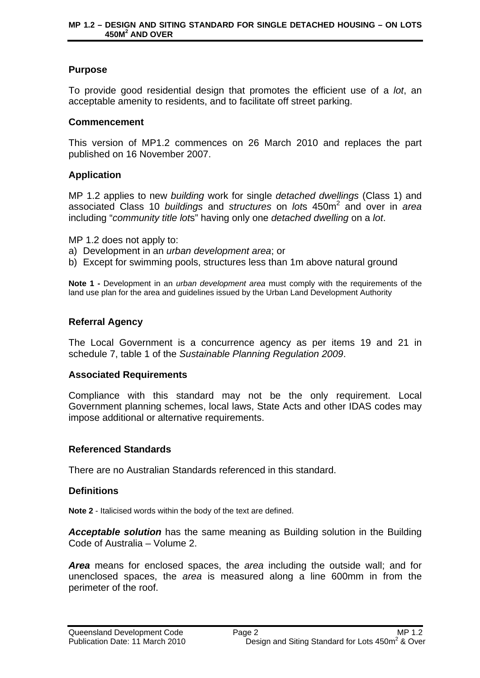### **Purpose**

To provide good residential design that promotes the efficient use of a *lot*, an acceptable amenity to residents, and to facilitate off street parking.

#### **Commencement**

This version of MP1.2 commences on 26 March 2010 and replaces the part published on 16 November 2007.

### **Application**

MP 1.2 applies to new *building* work for single *detached dwellings* (Class 1) and associated Class 10 *buildings* and *structures* on *lot*s 450m<sup>2</sup> and over in *area* including "*community title lot*s" having only one *detached dwelling* on a *lot*.

MP 1.2 does not apply to:

a) Development in an *urban development area*; or

b) Except for swimming pools, structures less than 1m above natural ground

**Note 1 -** Development in an *urban development area* must comply with the requirements of the land use plan for the area and guidelines issued by the Urban Land Development Authority

#### **Referral Agency**

The Local Government is a concurrence agency as per items 19 and 21 in schedule 7, table 1 of the *Sustainable Planning Regulation 2009*.

#### **Associated Requirements**

Compliance with this standard may not be the only requirement. Local Government planning schemes, local laws, State Acts and other IDAS codes may impose additional or alternative requirements.

#### **Referenced Standards**

There are no Australian Standards referenced in this standard.

#### **Definitions**

**Note 2** - Italicised words within the body of the text are defined.

*Acceptable solution* has the same meaning as Building solution in the Building Code of Australia – Volume 2.

*Area* means for enclosed spaces, the *area* including the outside wall; and for unenclosed spaces, the *area* is measured along a line 600mm in from the perimeter of the roof.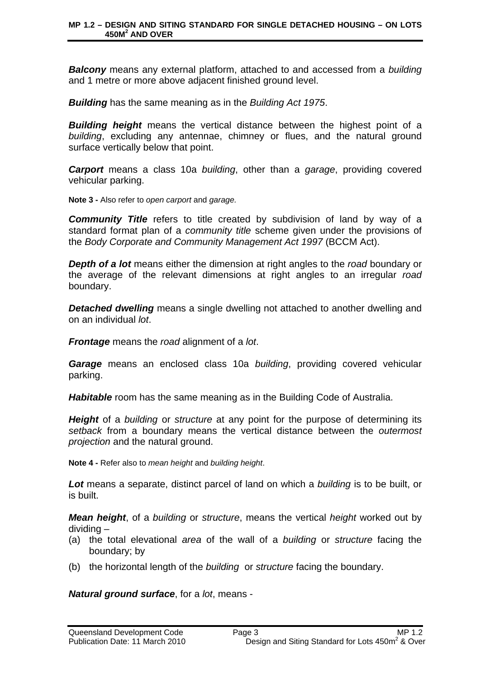#### **MP 1.2 – DESIGN AND SITING STANDARD FOR SINGLE DETACHED HOUSING – ON LOTS 450M2 AND OVER**

*Balcony* means any external platform, attached to and accessed from a *building*  and 1 metre or more above adjacent finished ground level.

*Building* has the same meaning as in the *Building Act 1975*.

*Building height* means the vertical distance between the highest point of a *building*, excluding any antennae, chimney or flues, and the natural ground surface vertically below that point.

*Carport* means a class 10a *building*, other than a *garage*, providing covered vehicular parking.

**Note 3 -** Also refer to *open carport* and *garage.*

*Community Title* refers to title created by subdivision of land by way of a standard format plan of a *community title* scheme given under the provisions of the *Body Corporate and Community Management Act 1997* (BCCM Act).

*Depth of a lot* means either the dimension at right angles to the *road* boundary or the average of the relevant dimensions at right angles to an irregular *road* boundary.

**Detached dwelling** means a single dwelling not attached to another dwelling and on an individual *lot*.

*Frontage* means the *road* alignment of a *lot*.

*Garage* means an enclosed class 10a *building*, providing covered vehicular parking.

*Habitable* room has the same meaning as in the Building Code of Australia.

*Height* of a *building* or *structure* at any point for the purpose of determining its *setback* from a boundary means the vertical distance between the *outermost projection* and the natural ground.

**Note 4 -** Refer also to *mean height* and *building height*.

*Lot* means a separate, distinct parcel of land on which a *building* is to be built, or is built.

*Mean height*, of a *building* or *structure*, means the vertical *height* worked out by dividing –

- (a) the total elevational *area* of the wall of a *building* or *structure* facing the boundary; by
- (b) the horizontal length of the *building* or *structure* facing the boundary.

*Natural ground surface*, for a *lot*, means -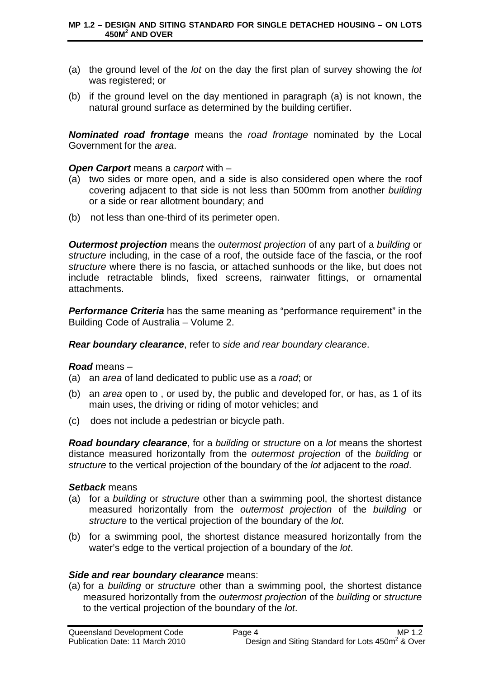- (a) the ground level of the *lot* on the day the first plan of survey showing the *lot* was registered; or
- (b) if the ground level on the day mentioned in paragraph (a) is not known, the natural ground surface as determined by the building certifier.

*Nominated road frontage* means the *road frontage* nominated by the Local Government for the *area*.

#### *Open Carport* means a *carport* with –

- (a) two sides or more open, and a side is also considered open where the roof covering adjacent to that side is not less than 500mm from another *building*  or a side or rear allotment boundary; and
- (b) not less than one-third of its perimeter open.

*Outermost projection* means the *outermost projection* of any part of a *building* or *structure* including, in the case of a roof, the outside face of the fascia, or the roof *structure* where there is no fascia, or attached sunhoods or the like, but does not include retractable blinds, fixed screens, rainwater fittings, or ornamental attachments.

*Performance Criteria* has the same meaning as "performance requirement" in the Building Code of Australia – Volume 2.

*Rear boundary clearance*, refer to *side and rear boundary clearance*.

#### *Road* means –

- (a) an *area* of land dedicated to public use as a *road*; or
- (b) an *area* open to , or used by, the public and developed for, or has, as 1 of its main uses, the driving or riding of motor vehicles; and
- (c) does not include a pedestrian or bicycle path.

*Road boundary clearance*, for a *building* or *structure* on a *lot* means the shortest distance measured horizontally from the *outermost projection* of the *building* or *structure* to the vertical projection of the boundary of the *lot* adjacent to the *road*.

#### *Setback* means

- (a) for a *building* or *structure* other than a swimming pool, the shortest distance measured horizontally from the *outermost projection* of the *building* or *structure* to the vertical projection of the boundary of the *lot*.
- (b) for a swimming pool, the shortest distance measured horizontally from the water's edge to the vertical projection of a boundary of the *lot*.

#### *Side and rear boundary clearance* means:

(a) for a *building* or *structure* other than a swimming pool, the shortest distance measured horizontally from the *outermost projection* of the *building* or *structure* to the vertical projection of the boundary of the *lot*.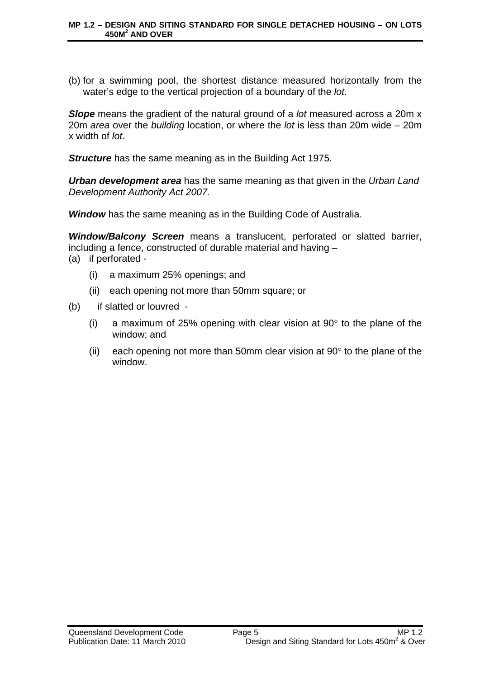(b) for a swimming pool, the shortest distance measured horizontally from the water's edge to the vertical projection of a boundary of the *lot*.

*Slope* means the gradient of the natural ground of a *lot* measured across a 20m x 20m *area* over the *building* location, or where the *lot* is less than 20m wide – 20m x width of *lot*.

**Structure** has the same meaning as in the Building Act 1975.

*Urban development area* has the same meaning as that given in the *Urban Land Development Authority Act 2007.*

*Window* has the same meaning as in the Building Code of Australia.

*Window/Balcony Screen* means a translucent, perforated or slatted barrier, including a fence, constructed of durable material and having –

- (a) if perforated
	- (i) a maximum 25% openings; and
	- (ii) each opening not more than 50mm square; or
- (b) if slatted or louvred
	- (i) a maximum of 25% opening with clear vision at 90 $\degree$  to the plane of the window; and
	- (ii) each opening not more than 50mm clear vision at  $90^\circ$  to the plane of the window.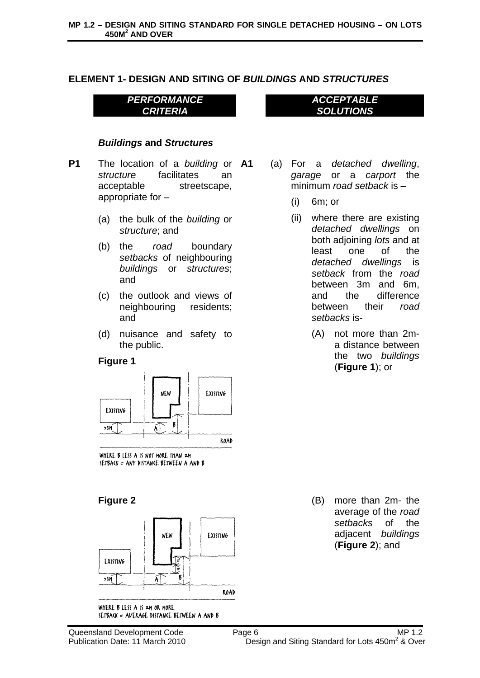### **ELEMENT 1- DESIGN AND SITING OF** *BUILDINGS* **AND** *STRUCTURES*

*PERFORMANCE CRITERIA* 

#### *Buildings* **and** *Structures*

- **P1** The location of a *building* or **A1** *structure* facilitates an acceptable streetscape, appropriate for –
	- (a) the bulk of the *building* or *structure*; and
	- (b) the *road* boundary *setbacks* of neighbouring *buildings* or *structures*; and
	- (c) the outlook and views of neighbouring residents; and
	- (d) nuisance and safety to the public.

#### **Figure 1**



WHERE B LESS A IS NOT MORE THAN 2M SETBACK = ANY DISTANCE BETWEEN A AND B



WHERE B LESS A IS 2M OR MORE SETBACK = AVERAGE DISTANCE BETWEEN A AND B

- 
- **A1** (a) For a *detached dwelling*, *garage* or a *carport* the minimum *road setback* is –

*ACCEPTABLE SOLUTIONS* 

- (i) 6m; or
- (ii) where there are existing *detached dwellings* on both adjoining *lots* and at least one of the *detached dwellings* is *setback* from the *road* between 3m and 6m, and the difference between their *road setbacks* is-
	- (A) not more than 2ma distance between the two *buildings* (**Figure 1**); or

**Figure 2** (B) more than 2m- the average of the *road setbacks* of the adjacent *buildings* (**Figure 2**); and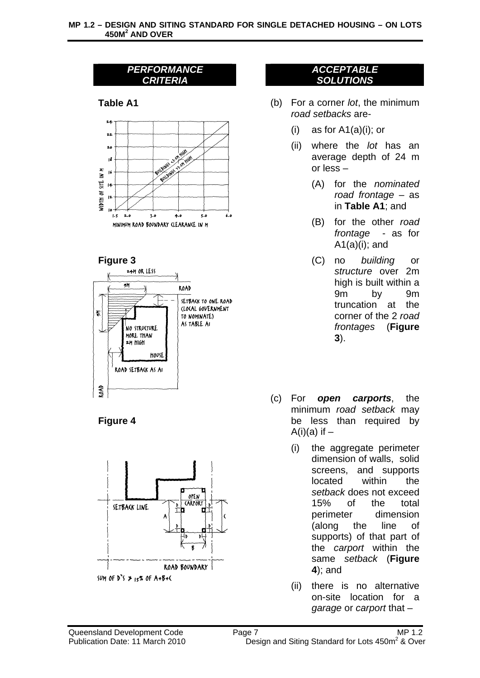











- **Table A1** (b) For a corner *lot*, the minimum *road setbacks* are-
	- (i) as for  $A1(a)(i)$ ; or
	- (ii) where the *lot* has an average depth of 24 m or less –
		- (A) for the *nominated road frontage* – as in **Table A1**; and
		- (B) for the other *road frontage* - as for  $A1(a)(i)$ ; and
- **Figure 3** (C) no *building* or *structure* over 2m high is built within a 9m by 9m truncation at the corner of the 2 *road frontages* (**Figure 3**).
	- (c) For *open carports*, the minimum *road setback* may be less than required by  $A(i)(a)$  if  $-$ 
		- (i) the aggregate perimeter dimension of walls, solid screens, and supports located within the *setback* does not exceed 15% of the total perimeter dimension (along the line of supports) of that part of the *carport* within the same *setback* (**Figure 4**); and
		- (ii) there is no alternative on-site location for a *garage* or *carport* that –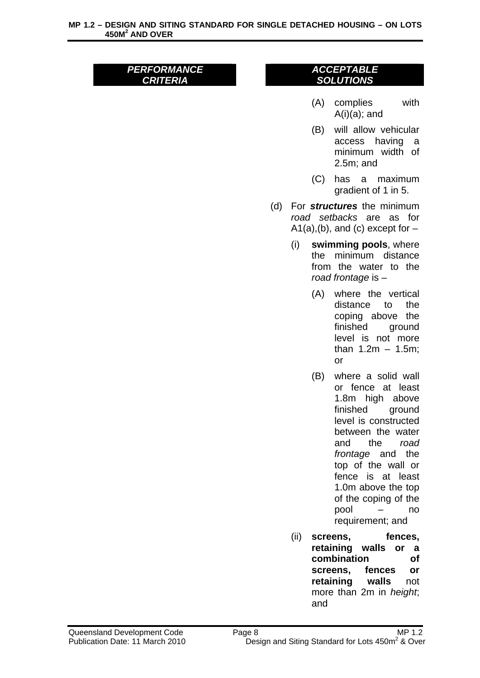- (A) complies with  $A(i)(a)$ ; and
- (B) will allow vehicular access having a minimum width of 2.5m; and
- (C) has a maximum gradient of 1 in 5.
- (d) For *structures* the minimum *road setbacks* are as for  $A1(a)$ , (b), and (c) except for  $-$ 
	- (i) **swimming pools**, where the minimum distance from the water to the *road frontage* is –
		- (A) where the vertical distance to the coping above the finished ground level is not more than  $1.2m - 1.5m$ : or
		- (B) where a solid wall or fence at least 1.8m high above finished ground level is constructed between the water and the *road frontage* and the top of the wall or fence is at least 1.0m above the top of the coping of the pool – no requirement; and
	- (ii) **screens, fences, retaining walls or a combination of screens, fences or retaining walls** not more than 2m in *height*; and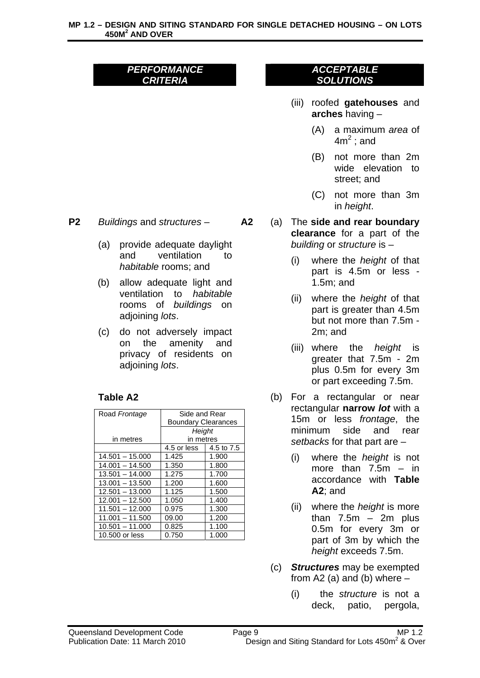#### *ACCEPTABLE SOLUTIONS*

- (iii) roofed **gatehouses** and **arches** having –
	- (A) a maximum *area* of  $4m<sup>2</sup>$ ; and
	- (B) not more than 2m wide elevation to street; and
	- (C) not more than 3m in *height*.
- **A2** (a) The **side and rear boundary clearance** for a part of the *building* or *structure* is –
	- (i) where the *height* of that part is 4.5m or less - 1.5m; and
	- (ii) where the *height* of that part is greater than 4.5m but not more than 7.5m - 2m; and
	- (iii) where the *height* is greater that 7.5m - 2m plus 0.5m for every 3m or part exceeding 7.5m.
	- (b) For a rectangular or near rectangular **narrow** *lot* with a 15m or less *frontage*, the minimum side and rear *setbacks* for that part are –
		- (i) where the *height* is not more than  $7.5m - in$ accordance with **Table A2**; and
		- (ii) where the *height* is more than  $7.5m - 2m$  plus 0.5m for every 3m or part of 3m by which the *height* exceeds 7.5m.
	- (c) *Structures* may be exempted from A2 (a) and (b) where  $-$ 
		- (i) the *structure* is not a deck, patio, pergola,



- (a) provide adequate daylight and ventilation to *habitable* rooms; and
- (b) allow adequate light and ventilation to *habitable* rooms of *buildings* on adjoining *lots*.
- (c) do not adversely impact on the amenity and privacy of residents on adjoining *lots*.

## **Table A2**

| Road Frontage     | Side and Rear              |            |
|-------------------|----------------------------|------------|
|                   | <b>Boundary Clearances</b> |            |
|                   | Height                     |            |
| in metres         | in metres                  |            |
|                   | 4.5 or less                | 4.5 to 7.5 |
| $14.501 - 15.000$ | 1.425                      | 1.900      |
| $14.001 - 14.500$ | 1.350                      | 1.800      |
| $13.501 - 14.000$ | 1.275                      | 1.700      |
| $13.001 - 13.500$ | 1.200                      | 1.600      |
| $12.501 - 13.000$ | 1.125                      | 1.500      |
| $12.001 - 12.500$ | 1.050                      | 1.400      |
| $11.501 - 12.000$ | 0.975                      | 1.300      |
| $11.001 - 11.500$ | 09.00                      | 1.200      |
| $10.501 - 11.000$ | 0.825                      | 1.100      |
| 10,500 or less    | 0.750                      | 1.000      |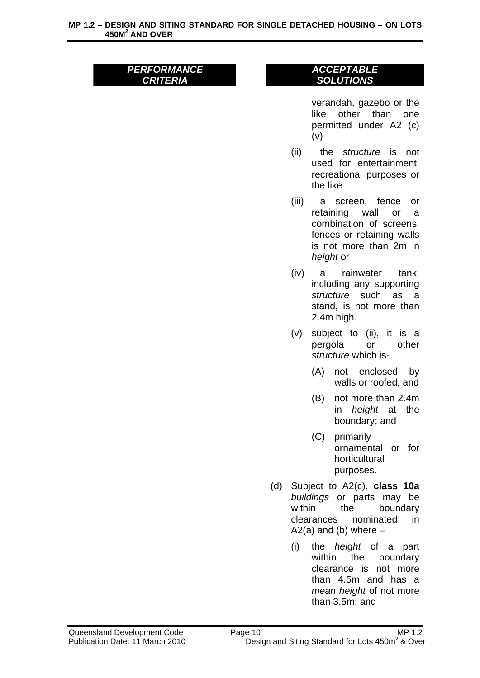#### *ACCEPTABLE SOLUTIONS*

verandah, gazebo or the like other than one permitted under A2 (c) (v)

- (ii) the *structure* is not used for entertainment, recreational purposes or the like
- (iii) a screen, fence or retaining wall or a combination of screens, fences or retaining walls is not more than 2m in *height* or
- (iv) a rainwater tank, including any supporting *structure* such as a stand, is not more than 2.4m high.
- (v) subject to (ii), it is a pergola or other *structure* which is-
	- (A) not enclosed by walls or roofed; and
	- (B) not more than 2.4m in *height* at the boundary; and
	- (C) primarily ornamental or for horticultural purposes.
- (d) Subject to A2(c), **class 10a** *buildings* or parts may be within the boundary clearances nominated in  $A2(a)$  and (b) where  $-$ 
	- (i) the *height* of a part within the boundary clearance is not more than 4.5m and has a *mean height* of not more than 3.5m; and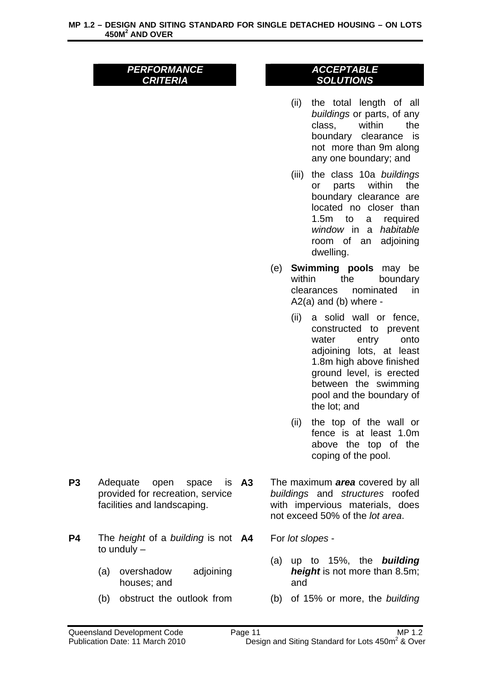- (ii) the total length of all *buildings* or parts, of any class, within the boundary clearance is not more than 9m along any one boundary; and
- (iii) the class 10a *buildings* or parts within the boundary clearance are located no closer than 1.5m to a required *window* in a *habitable* room of an adjoining dwelling.
- (e) **Swimming pools** may be within the boundary clearances nominated in A2(a) and (b) where -
	- (ii) a solid wall or fence, constructed to prevent water entry onto adjoining lots, at least 1.8m high above finished ground level, is erected between the swimming pool and the boundary of the lot; and
	- (ii) the top of the wall or fence is at least 1.0m above the top of the coping of the pool.
- P3 Adequate open space is A3 provided for recreation, service facilities and landscaping.
- **P4** The *height* of a *building* is not **A4** to unduly –
	- (a) overshadow adjoining houses; and
	- (b) obstruct the outlook from
- **A3** The maximum *area* covered by all *buildings* and *structures* roofed with impervious materials, does not exceed 50% of the *lot area*.
	- **A4** For *lot slopes*
		- (a) up to 15%, the *building height* is not more than 8.5m; and
		- (b) of 15% or more, the *building*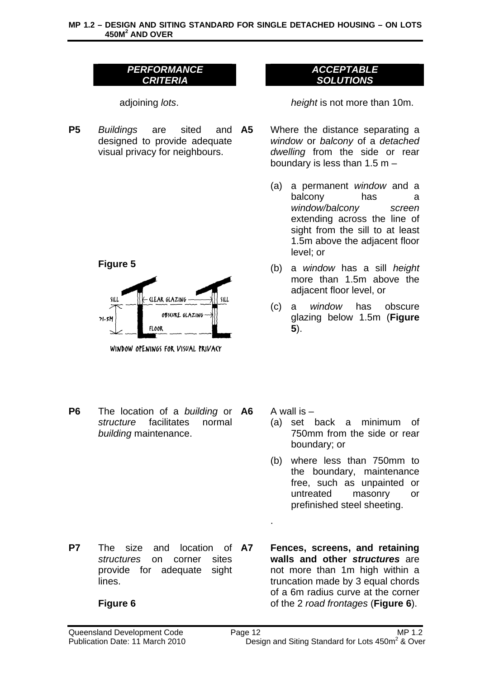adjoining *lots*. *height* is not more than 10m.

**P5** *Buildings* are sited and designed to provide adequate visual privacy for neighbours.





WINDOW OPENINGS FOR VISUAL PRIVACY

**P6** The location of a *building* or *structure* facilitates normal *building* maintenance.

**P7** The size and location of A7 *structures* on corner sites provide for adequate sight lines.

## **Figure 6**

# boundary is less than 1.5 m – (a) a permanent *window* and a

balcony has a *window/balcony screen* extending across the line of sight from the sill to at least 1.5m above the adjacent floor level; or

*ACCEPTABLE SOLUTIONS* 

**A5** Where the distance separating a *window* or *balcony* of a *detached dwelling* from the side or rear

- (b) a *window* has a sill *height* more than 1.5m above the adjacent floor level, or
- (c) a *window* has obscure glazing below 1.5m (**Figure 5**).

A wall is  $-$ 

.

- (a) set back a minimum of 750mm from the side or rear boundary; or
- (b) where less than 750mm to the boundary, maintenance free, such as unpainted or untreated masonry or prefinished steel sheeting.
- **A7 Fences, screens, and retaining walls and other** *structures* are not more than 1m high within a truncation made by 3 equal chords of a 6m radius curve at the corner of the 2 *road frontages* (**Figure 6**).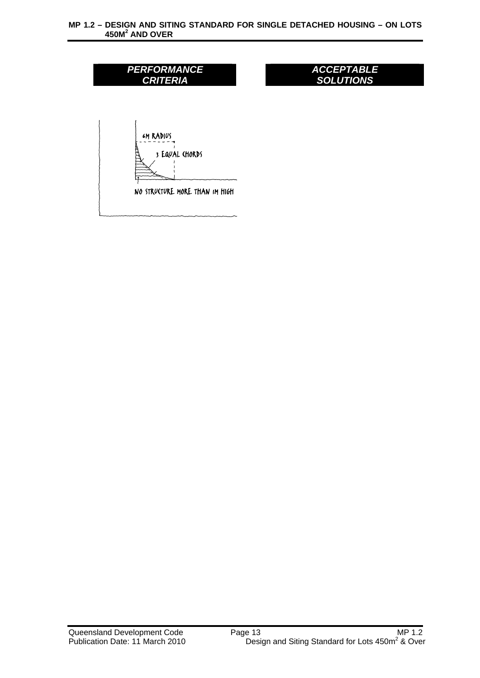#### **MP 1.2 – DESIGN AND SITING STANDARD FOR SINGLE DETACHED HOUSING – ON LOTS 450M2 AND OVER**

| <b>PERFORMANCE</b><br><b>CRITERIA</b>                                       | <b>ACCEPTABLE</b><br><b>SOLUTIONS</b> |  |
|-----------------------------------------------------------------------------|---------------------------------------|--|
|                                                                             |                                       |  |
| <b><i>GM RADIUS</i></b><br>3 EQUAL CHORDS<br>NO STRUCTURE MORE THAN IM HIGH |                                       |  |